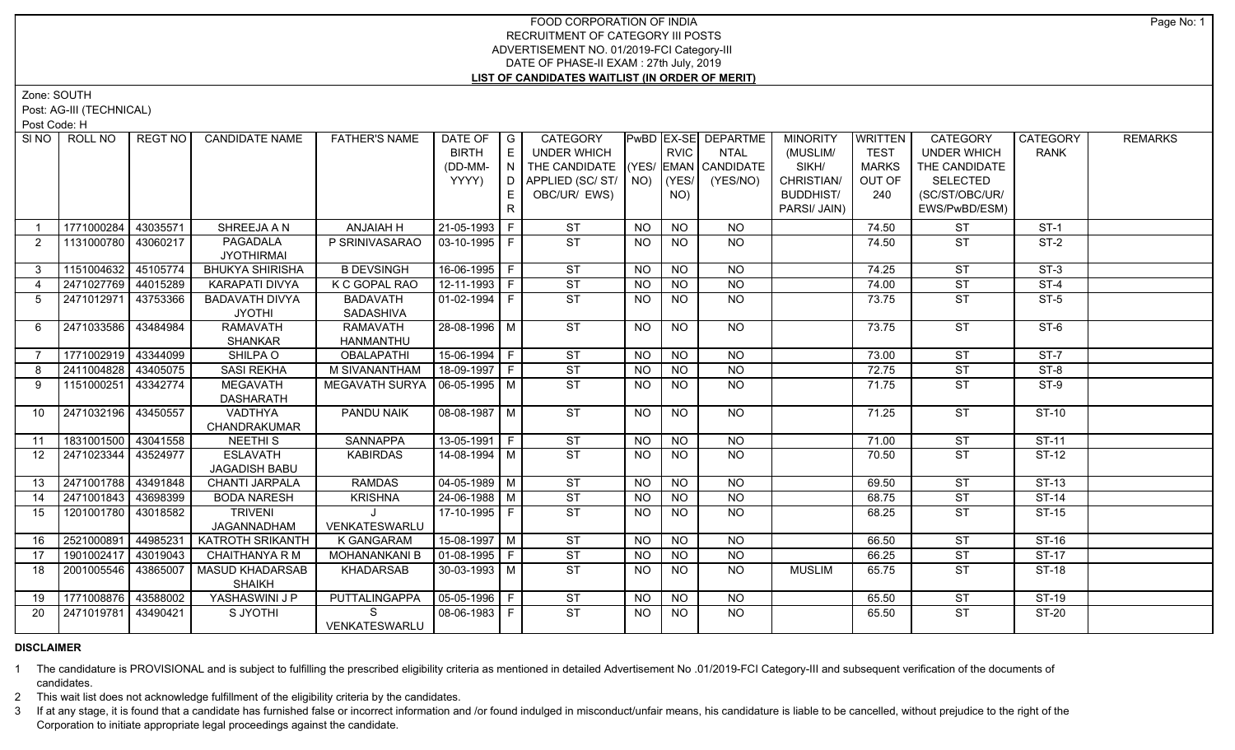## FOOD CORPORATION OF INDIA RECRUITMENT OF CATEGORY III POSTS ADVERTISEMENT NO. 01/2019-FCI Category-III DATE OF PHASE-II EXAM : 27th July, 2019 **LIST OF CANDIDATES WAITLIST (IN ORDER OF MERIT)**

Zone: SOUTH

Post: AG-III (TECHNICAL)

Post Code: H

| SINO I         | ROLL NO               | REGT NO  | <b>CANDIDATE NAME</b>                   | <b>FATHER'S NAME</b>            | DATE OF   G<br><b>BIRTH</b><br>(DD-MM- | E<br>$\mathbf{U} \mathbf{N}$ $\mathbf{U}$ | <b>CATEGORY</b><br>UNDER WHICH<br>THE CANDIDATE (YES/ EMAN CANDIDATE |           | <b>RVIC</b>     | <b>PwBD EX-SE DEPARTME</b><br>NTAL | <b>MINORITY</b><br>(MUSLIM/<br>SIKH/           | <b>WRITTEN</b><br><b>TEST</b><br><b>MARKS</b> | <b>CATEGORY</b><br><b>UNDER WHICH</b><br>THE CANDIDATE | CATEGORY<br><b>RANK</b> | <b>REMARKS</b> |
|----------------|-----------------------|----------|-----------------------------------------|---------------------------------|----------------------------------------|-------------------------------------------|----------------------------------------------------------------------|-----------|-----------------|------------------------------------|------------------------------------------------|-----------------------------------------------|--------------------------------------------------------|-------------------------|----------------|
|                |                       |          |                                         |                                 | YYYY)                                  | E.<br>R                                   | D APPLIED (SC/ ST/ NO)<br>OBC/UR/ EWS)                               |           | (YES/<br>NO)    | (YES/NO)                           | CHRISTIAN/<br><b>BUDDHIST/</b><br>PARSI/ JAIN) | OUT OF<br>240                                 | SELECTED<br>(SC/ST/OBC/UR/<br>EWS/PwBD/ESM)            |                         |                |
|                | 1771000284            | 43035571 | SHREEJA A N                             | ANJAIAH H                       | 21-05-1993 F                           |                                           | <b>ST</b>                                                            | <b>NO</b> | <b>NO</b>       | <b>NO</b>                          |                                                | 74.50                                         | <b>ST</b>                                              | $ST-1$                  |                |
| 2              | 1131000780   43060217 |          | PAGADALA<br><b>JYOTHIRMAI</b>           | P SRINIVASARAO                  | 03-10-1995   F                         |                                           | ST                                                                   | <b>NO</b> | NO.             | NO.                                |                                                | 74.50                                         | ST                                                     | $ST-2$                  |                |
| $\mathbf{3}$   | 1151004632 45105774   |          | <b>BHUKYA SHIRISHA</b>                  | <b>B DEVSINGH</b>               | $16-06-1995$ F                         |                                           | <b>ST</b>                                                            | <b>NO</b> | <b>NO</b>       | <b>NO</b>                          |                                                | 74.25                                         | <b>ST</b>                                              | $ST-3$                  |                |
| $\overline{4}$ | 2471027769 44015289   |          | KARAPATI DIVYA                          | K C GOPAL RAO                   | 12-11-1993 F                           |                                           | ST                                                                   | <b>NO</b> | <b>NO</b>       | <b>NO</b>                          |                                                | 74.00                                         | <b>ST</b>                                              | $ST-4$                  |                |
| -5             | 2471012971 43753366   |          | <b>BADAVATH DIVYA</b><br><b>JYOTHI</b>  | <b>BADAVATH</b><br>SADASHIVA    | $01-02-1994$ F                         |                                           | ST                                                                   | <b>NO</b> | NO.             | <b>NO</b>                          |                                                | 73.75                                         | <b>ST</b>                                              | $ST-5$                  |                |
| 6              | 2471033586 43484984   |          | <b>RAMAVATH</b><br><b>SHANKAR</b>       | <b>RAMAVATH</b><br>HANMANTHU    | 28-08-1996 M                           |                                           | ST                                                                   | <b>NO</b> | $\overline{NO}$ | $\overline{NO}$                    |                                                | 73.75                                         | ST                                                     | $ST-6$                  |                |
| 7              | 1771002919 43344099   |          | SHILPA O                                | <b>OBALAPATHI</b>               | $15-06-1994$ F                         |                                           | ST                                                                   | <b>NO</b> | <b>NO</b>       | NO                                 |                                                | 73.00                                         | <b>ST</b>                                              | $ST-7$                  |                |
| 8              | 2411004828 43405075   |          | <b>SASI REKHA</b>                       | M SIVANANTHAM                   | $18-09-1997$ F                         |                                           | ST                                                                   | NO.       | <b>NO</b>       | <b>NO</b>                          |                                                | 72.75                                         | $\overline{\text{ST}}$                                 | $ST-8$                  |                |
| 9              | 1151000251 43342774   |          | <b>MEGAVATH</b><br><b>DASHARATH</b>     | MEGAVATH SURYA   06-05-1995   M |                                        |                                           | $\overline{\text{ST}}$                                               | <b>NO</b> | <b>NO</b>       | $\overline{NO}$                    |                                                | 71.75                                         | <b>ST</b>                                              | $ST-9$                  |                |
| 10             | 2471032196 43450557   |          | <b>VADTHYA</b><br>CHANDRAKUMAR          | <b>PANDU NAIK</b>               | 08-08-1987 M                           |                                           | ST                                                                   | NO        | <b>NO</b>       | NO                                 |                                                | 71.25                                         | ST                                                     | $ST-10$                 |                |
| 11             | 1831001500 43041558   |          | <b>NEETHIS</b>                          | <b>SANNAPPA</b>                 | $13-05-1991$ F                         |                                           | ST                                                                   | <b>NO</b> | <b>NO</b>       | $N$ <sup>O</sup>                   |                                                | 71.00                                         | <b>ST</b>                                              | $ST-11$                 |                |
| 12             | 2471023344            | 43524977 | <b>ESLAVATH</b><br>JAGADISH BABU        | <b>KABIRDAS</b>                 | 14-08-1994 M                           |                                           | ST                                                                   | NO        | NO.             | NO                                 |                                                | 70.50                                         | ST                                                     | ST-12                   |                |
| 13             | 2471001788 43491848   |          | <b>CHANTI JARPALA</b>                   | <b>RAMDAS</b>                   | $04 - 05 - 1989$ M                     |                                           | <b>ST</b>                                                            | <b>NO</b> | <b>NO</b>       | <b>NO</b>                          |                                                | 69.50                                         | <b>ST</b>                                              | ST-13                   |                |
| 14             | 2471001843 43698399   |          | <b>BODA NARESH</b>                      | <b>KRISHNA</b>                  | 24-06-1988 M                           |                                           | <b>ST</b>                                                            | <b>NO</b> | <b>NO</b>       | <b>NO</b>                          |                                                | 68.75                                         | <b>ST</b>                                              | <b>ST-14</b>            |                |
| 15             | 1201001780 43018582   |          | <b>TRIVENI</b><br>JAGANNADHAM           | VENKATESWARLU                   | $17-10-1995$ F                         |                                           | <b>ST</b>                                                            | NO.       | <b>NO</b>       | <b>NO</b>                          |                                                | 68.25                                         | <b>ST</b>                                              | <b>ST-15</b>            |                |
| 16             | 2521000891 44985231   |          | <b>KATROTH SRIKANTH</b>                 | <b>K GANGARAM</b>               | $15-08-1997$ M                         |                                           | ST                                                                   | <b>NO</b> | <b>NO</b>       | <b>NO</b>                          |                                                | 66.50                                         | <b>ST</b>                                              | $ST-16$                 |                |
| 17             | 1901002417 43019043   |          | <b>CHAITHANYA R M</b>                   | MOHANANKANI B                   | $ 01-08-1995 F$                        |                                           | ST                                                                   | <b>NO</b> | <b>NO</b>       | $\overline{NQ}$                    |                                                | 66.25                                         | $\overline{\text{ST}}$                                 | $ST-17$                 |                |
| 18             | 2001005546 43865007   |          | <b>MASUD KHADARSAB</b><br><b>SHAIKH</b> | <b>KHADARSAB</b>                | 30-03-1993 M                           |                                           | ST                                                                   | NO.       | NO              | <b>NO</b>                          | <b>MUSLIM</b>                                  | 65.75                                         | <b>ST</b>                                              | $ST-18$                 |                |
| 19             | 1771008876 43588002   |          | YASHASWINI J P                          | PUTTALINGAPPA                   | $ 05-05-1996 F$                        |                                           | ST                                                                   | <b>NO</b> | <b>NO</b>       | <b>NO</b>                          |                                                | 65.50                                         | <b>ST</b>                                              | $ST-19$                 |                |
| 20             | 2471019781 43490421   |          | S JYOTHI                                | S.<br>VENKATESWARLU             | 08-06-1983   F                         |                                           | $\overline{\text{ST}}$                                               | NO.       | NO.             | <b>NO</b>                          |                                                | 65.50                                         | <b>ST</b>                                              | ST-20                   |                |

## **DISCLAIMER**

1 The candidature is PROVISIONAL and is subject to fulfilling the prescribed eligibility criteria as mentioned in detailed Advertisement No .01/2019-FCI Category-III and subsequent verification of the documents of candidates.

2 This wait list does not acknowledge fulfillment of the eligibility criteria by the candidates.

3 If at any stage, it is found that a candidate has furnished false or incorrect information and /or found indulged in misconduct/unfair means, his candidature is liable to be cancelled, without prejudice to the right of t Corporation to initiate appropriate legal proceedings against the candidate.

Page No: 1